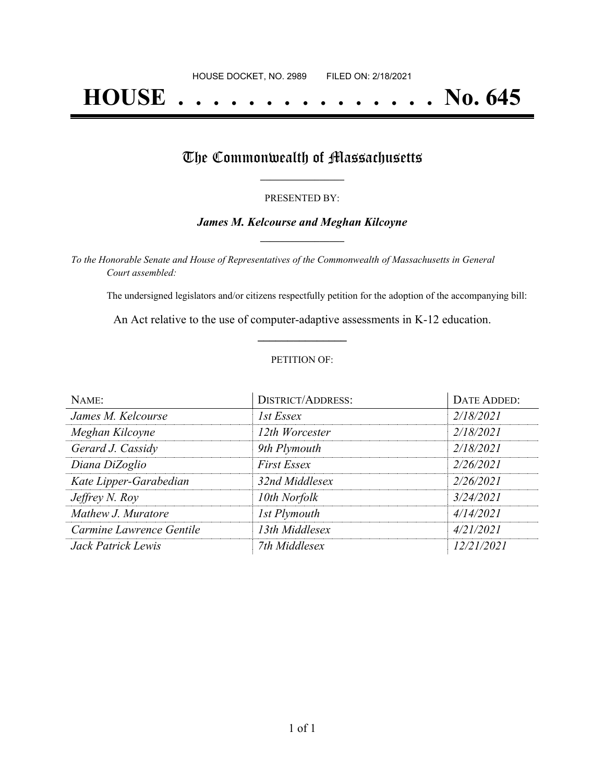# **HOUSE . . . . . . . . . . . . . . . No. 645**

## The Commonwealth of Massachusetts

#### PRESENTED BY:

#### *James M. Kelcourse and Meghan Kilcoyne* **\_\_\_\_\_\_\_\_\_\_\_\_\_\_\_\_\_**

*To the Honorable Senate and House of Representatives of the Commonwealth of Massachusetts in General Court assembled:*

The undersigned legislators and/or citizens respectfully petition for the adoption of the accompanying bill:

An Act relative to the use of computer-adaptive assessments in K-12 education. **\_\_\_\_\_\_\_\_\_\_\_\_\_\_\_**

#### PETITION OF:

| NAME:                    | <b>DISTRICT/ADDRESS:</b> | <b>DATE ADDED:</b> |
|--------------------------|--------------------------|--------------------|
| James M. Kelcourse       | 1st Essex                | 2/18/2021          |
| Meghan Kilcoyne          | 12th Worcester           | 2/18/2021          |
| Gerard J. Cassidy        | 9th Plymouth             | 2/18/2021          |
| Diana DiZoglio           | <b>First Essex</b>       | 2/26/2021          |
| Kate Lipper-Garabedian   | 32nd Middlesex           | 2/26/2021          |
| Jeffrey N. Roy           | 10th Norfolk             | 3/24/2021          |
| Mathew J. Muratore       | <b>1st Plymouth</b>      | 4/14/2021          |
| Carmine Lawrence Gentile | 13th Middlesex           | 4/21/2021          |
| Jack Patrick Lewis       | 7th Middlesex            | 12/21/2021         |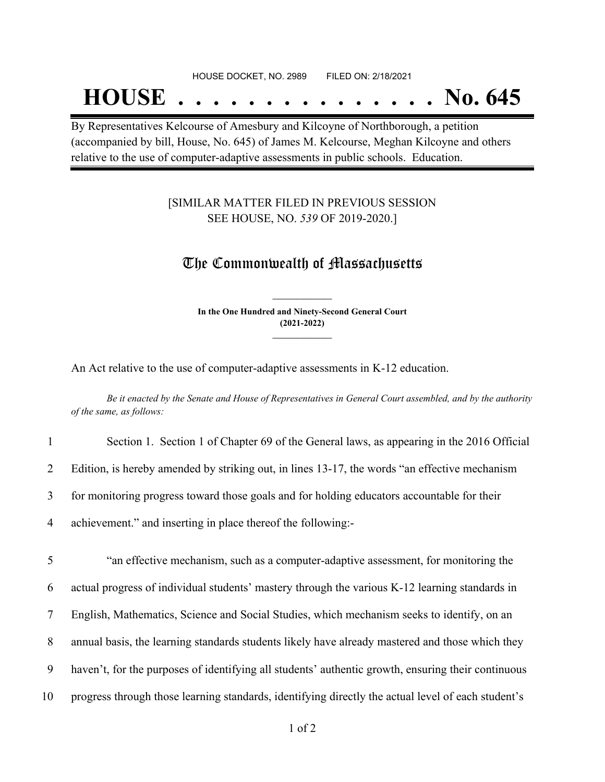#### HOUSE DOCKET, NO. 2989 FILED ON: 2/18/2021

## **HOUSE . . . . . . . . . . . . . . . No. 645**

By Representatives Kelcourse of Amesbury and Kilcoyne of Northborough, a petition (accompanied by bill, House, No. 645) of James M. Kelcourse, Meghan Kilcoyne and others relative to the use of computer-adaptive assessments in public schools. Education.

#### [SIMILAR MATTER FILED IN PREVIOUS SESSION SEE HOUSE, NO. *539* OF 2019-2020.]

### The Commonwealth of Massachusetts

**In the One Hundred and Ninety-Second General Court (2021-2022) \_\_\_\_\_\_\_\_\_\_\_\_\_\_\_**

**\_\_\_\_\_\_\_\_\_\_\_\_\_\_\_**

An Act relative to the use of computer-adaptive assessments in K-12 education.

Be it enacted by the Senate and House of Representatives in General Court assembled, and by the authority *of the same, as follows:*

| $\mathbf{1}$   | Section 1. Section 1 of Chapter 69 of the General laws, as appearing in the 2016 Official      |
|----------------|------------------------------------------------------------------------------------------------|
| $\overline{2}$ | Edition, is hereby amended by striking out, in lines 13-17, the words "an effective mechanism" |
| 3              | for monitoring progress toward those goals and for holding educators accountable for their     |
| 4              | achievement." and inserting in place thereof the following:-                                   |
| 5              | "an effective mechanism, such as a computer-adaptive assessment, for monitoring the            |
|                |                                                                                                |
| 6              | actual progress of individual students' mastery through the various K-12 learning standards in |
| 7              | English, Mathematics, Science and Social Studies, which mechanism seeks to identify, on an     |
|                |                                                                                                |

8 annual basis, the learning standards students likely have already mastered and those which they

9 haven't, for the purposes of identifying all students' authentic growth, ensuring their continuous

10 progress through those learning standards, identifying directly the actual level of each student's